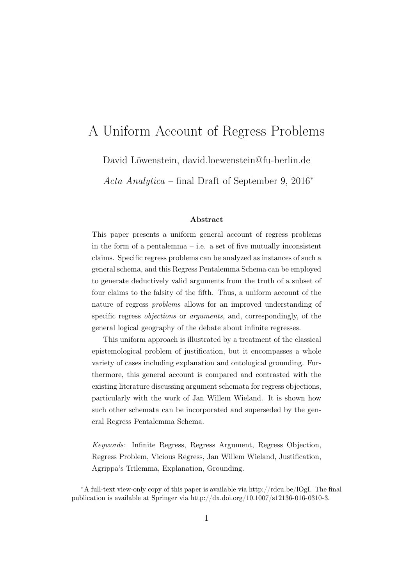# <span id="page-0-0"></span>A Uniform Account of Regress Problems

David Löwenstein, david.loewenstein@fu-berlin.de

Acta Analytica – final Draft of September 9, 2016<sup>∗</sup>

#### Abstract

This paper presents a uniform general account of regress problems in the form of a pentalemma – i.e. a set of five mutually inconsistent claims. Specific regress problems can be analyzed as instances of such a general schema, and this Regress Pentalemma Schema can be employed to generate deductively valid arguments from the truth of a subset of four claims to the falsity of the fifth. Thus, a uniform account of the nature of regress problems allows for an improved understanding of specific regress objections or arguments, and, correspondingly, of the general logical geography of the debate about infinite regresses.

This uniform approach is illustrated by a treatment of the classical epistemological problem of justification, but it encompasses a whole variety of cases including explanation and ontological grounding. Furthermore, this general account is compared and contrasted with the existing literature discussing argument schemata for regress objections, particularly with the work of Jan Willem Wieland. It is shown how such other schemata can be incorporated and superseded by the general Regress Pentalemma Schema.

Keywords: Infinite Regress, Regress Argument, Regress Objection, Regress Problem, Vicious Regress, Jan Willem Wieland, Justification, Agrippa's Trilemma, Explanation, Grounding.

<sup>∗</sup>A full-text view-only copy of this paper is available via [http://rdcu.be/lOgI.](http://rdcu.be/lOgI) The final publication is available at Springer via [http://dx.doi.org/10.1007/s12136-016-0310-3.](http://dx.doi.org/10.1007/s12136-016-0310-3)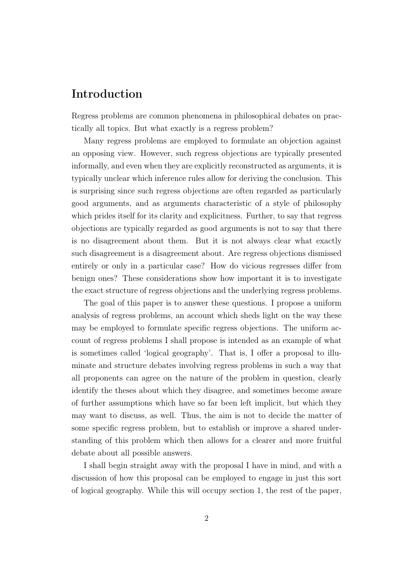## Introduction

Regress problems are common phenomena in philosophical debates on practically all topics. But what exactly is a regress problem?

Many regress problems are employed to formulate an objection against an opposing view. However, such regress objections are typically presented informally, and even when they are explicitly reconstructed as arguments, it is typically unclear which inference rules allow for deriving the conclusion. This is surprising since such regress objections are often regarded as particularly good arguments, and as arguments characteristic of a style of philosophy which prides itself for its clarity and explicitness. Further, to say that regress objections are typically regarded as good arguments is not to say that there is no disagreement about them. But it is not always clear what exactly such disagreement is a disagreement about. Are regress objections dismissed entirely or only in a particular case? How do vicious regresses differ from benign ones? These considerations show how important it is to investigate the exact structure of regress objections and the underlying regress problems.

The goal of this paper is to answer these questions. I propose a uniform analysis of regress problems, an account which sheds light on the way these may be employed to formulate specific regress objections. The uniform account of regress problems I shall propose is intended as an example of what is sometimes called 'logical geography'. That is, I offer a proposal to illuminate and structure debates involving regress problems in such a way that all proponents can agree on the nature of the problem in question, clearly identify the theses about which they disagree, and sometimes become aware of further assumptions which have so far been left implicit, but which they may want to discuss, as well. Thus, the aim is not to decide the matter of some specific regress problem, but to establish or improve a shared understanding of this problem which then allows for a clearer and more fruitful debate about all possible answers.

I shall begin straight away with the proposal I have in mind, and with a discussion of how this proposal can be employed to engage in just this sort of logical geography. While this will occupy section [1,](#page-2-0) the rest of the paper,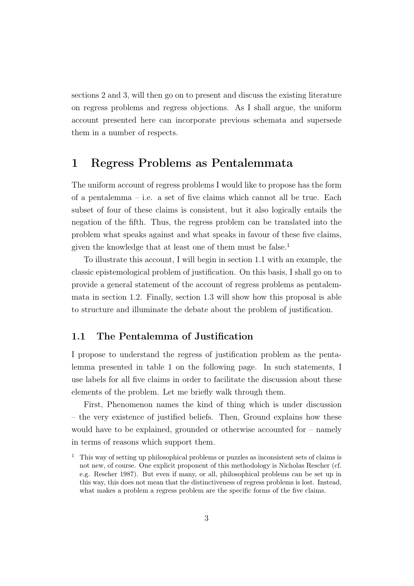sections [2](#page-11-0) and [3,](#page-22-0) will then go on to present and discuss the existing literature on regress problems and regress objections. As I shall argue, the uniform account presented here can incorporate previous schemata and supersede them in a number of respects.

### <span id="page-2-0"></span>1 Regress Problems as Pentalemmata

The uniform account of regress problems I would like to propose has the form of a pentalemma – i.e. a set of five claims which cannot all be true. Each subset of four of these claims is consistent, but it also logically entails the negation of the fifth. Thus, the regress problem can be translated into the problem what speaks against and what speaks in favour of these five claims, given the knowledge that at least one of them must be false.<sup>[1](#page-0-0)</sup>

To illustrate this account, I will begin in section [1.1](#page-2-1) with an example, the classic epistemological problem of justification. On this basis, I shall go on to provide a general statement of the account of regress problems as pentalemmata in section [1.2.](#page-5-0) Finally, section [1.3](#page-8-0) will show how this proposal is able to structure and illuminate the debate about the problem of justification.

#### <span id="page-2-1"></span>1.1 The Pentalemma of Justification

I propose to understand the regress of justification problem as the pentalemma presented in table [1 on the following page.](#page-3-0) In such statements, I use labels for all five claims in order to facilitate the discussion about these elements of the problem. Let me briefly walk through them.

First, Phenomenon names the kind of thing which is under discussion – the very existence of justified beliefs. Then, Ground explains how these would have to be explained, grounded or otherwise accounted for – namely in terms of reasons which support them.

<sup>&</sup>lt;sup>1</sup> This way of setting up philosophical problems or puzzles as inconsistent sets of claims is not new, of course. One explicit proponent of this methodology is Nicholas Rescher (cf. e.g. [Rescher 1987\)](#page-31-0). But even if many, or all, philosophical problems can be set up in this way, this does not mean that the distinctiveness of regress problems is lost. Instead, what makes a problem a regress problem are the specific forms of the five claims.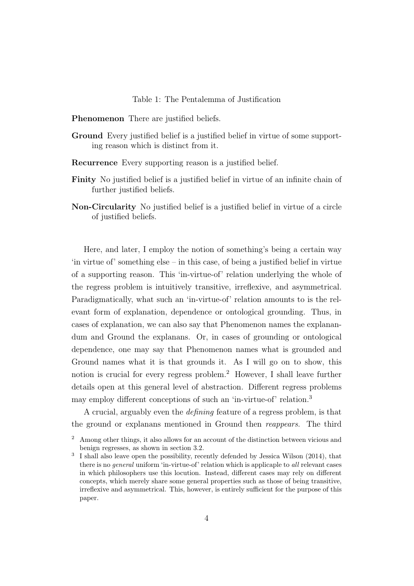#### <span id="page-3-0"></span>Table 1: The Pentalemma of Justification

Phenomenon There are justified beliefs.

- Ground Every justified belief is a justified belief in virtue of some supporting reason which is distinct from it.
- Recurrence Every supporting reason is a justified belief.
- Finity No justified belief is a justified belief in virtue of an infinite chain of further justified beliefs.
- Non-Circularity No justified belief is a justified belief in virtue of a circle of justified beliefs.

Here, and later, I employ the notion of something's being a certain way 'in virtue of' something else – in this case, of being a justified belief in virtue of a supporting reason. This 'in-virtue-of' relation underlying the whole of the regress problem is intuitively transitive, irreflexive, and asymmetrical. Paradigmatically, what such an 'in-virtue-of' relation amounts to is the relevant form of explanation, dependence or ontological grounding. Thus, in cases of explanation, we can also say that Phenomenon names the explanandum and Ground the explanans. Or, in cases of grounding or ontological dependence, one may say that Phenomenon names what is grounded and Ground names what it is that grounds it. As I will go on to show, this notion is crucial for every regress problem.[2](#page-0-0) However, I shall leave further details open at this general level of abstraction. Different regress problems may employ different conceptions of such an 'in-virtue-of' relation.[3](#page-0-0)

A crucial, arguably even the defining feature of a regress problem, is that the ground or explanans mentioned in Ground then reappears. The third

<sup>3</sup> I shall also leave open the possibility, recently defended by Jessica [Wilson](#page-31-1) [\(2014\)](#page-31-1), that there is no *general* uniform 'in-virtue-of' relation which is applicaple to *all* relevant cases in which philosophers use this locution. Instead, different cases may rely on different concepts, which merely share some general properties such as those of being transitive, irreflexive and asymmetrical. This, however, is entirely sufficient for the purpose of this paper.

<sup>2</sup> Among other things, it also allows for an account of the distinction between vicious and benign regresses, as shown in section [3.2.](#page-27-0)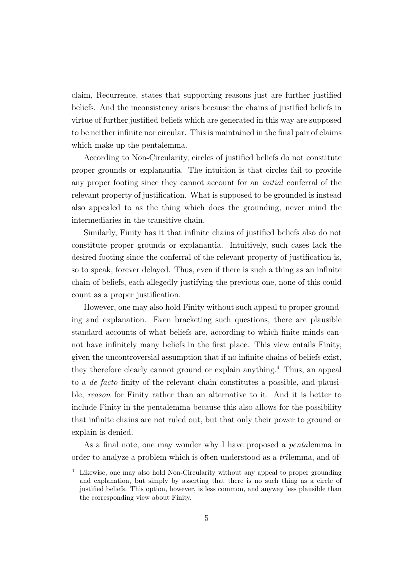claim, Recurrence, states that supporting reasons just are further justified beliefs. And the inconsistency arises because the chains of justified beliefs in virtue of further justified beliefs which are generated in this way are supposed to be neither infinite nor circular. This is maintained in the final pair of claims which make up the pentalemma.

According to Non-Circularity, circles of justified beliefs do not constitute proper grounds or explanantia. The intuition is that circles fail to provide any proper footing since they cannot account for an initial conferral of the relevant property of justification. What is supposed to be grounded is instead also appealed to as the thing which does the grounding, never mind the intermediaries in the transitive chain.

Similarly, Finity has it that infinite chains of justified beliefs also do not constitute proper grounds or explanantia. Intuitively, such cases lack the desired footing since the conferral of the relevant property of justification is, so to speak, forever delayed. Thus, even if there is such a thing as an infinite chain of beliefs, each allegedly justifying the previous one, none of this could count as a proper justification.

However, one may also hold Finity without such appeal to proper grounding and explanation. Even bracketing such questions, there are plausible standard accounts of what beliefs are, according to which finite minds cannot have infinitely many beliefs in the first place. This view entails Finity, given the uncontroversial assumption that if no infinite chains of beliefs exist, they therefore clearly cannot ground or explain anything.<sup>[4](#page-0-0)</sup> Thus, an appeal to a de facto finity of the relevant chain constitutes a possible, and plausible, reason for Finity rather than an alternative to it. And it is better to include Finity in the pentalemma because this also allows for the possibility that infinite chains are not ruled out, but that only their power to ground or explain is denied.

As a final note, one may wonder why I have proposed a pentalemma in order to analyze a problem which is often understood as a trilemma, and of-

<sup>4</sup> Likewise, one may also hold Non-Circularity without any appeal to proper grounding and explanation, but simply by asserting that there is no such thing as a circle of justified beliefs. This option, however, is less common, and anyway less plausible than the corresponding view about Finity.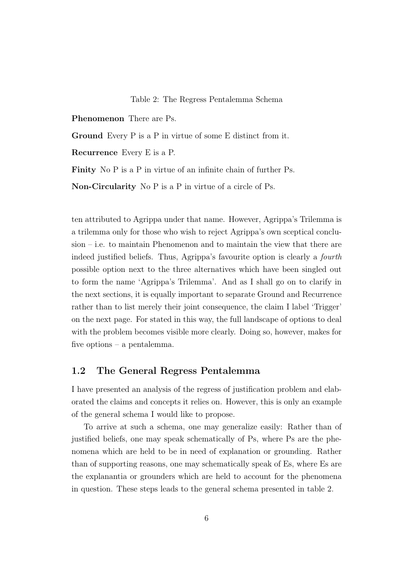#### <span id="page-5-1"></span>Table 2: The Regress Pentalemma Schema

Phenomenon There are Ps.

Ground Every P is a P in virtue of some E distinct from it.

Recurrence Every E is a P.

Finity No P is a P in virtue of an infinite chain of further Ps.

Non-Circularity No P is a P in virtue of a circle of Ps.

ten attributed to Agrippa under that name. However, Agrippa's Trilemma is a trilemma only for those who wish to reject Agrippa's own sceptical conclusion – i.e. to maintain Phenomenon and to maintain the view that there are indeed justified beliefs. Thus, Agrippa's favourite option is clearly a fourth possible option next to the three alternatives which have been singled out to form the name 'Agrippa's Trilemma'. And as I shall go on to clarify in the next sections, it is equally important to separate Ground and Recurrence rather than to list merely their joint consequence, the claim I label 'Trigger' on the next page. For stated in this way, the full landscape of options to deal with the problem becomes visible more clearly. Doing so, however, makes for five options – a pentalemma.

### <span id="page-5-0"></span>1.2 The General Regress Pentalemma

I have presented an analysis of the regress of justification problem and elaborated the claims and concepts it relies on. However, this is only an example of the general schema I would like to propose.

To arrive at such a schema, one may generalize easily: Rather than of justified beliefs, one may speak schematically of Ps, where Ps are the phenomena which are held to be in need of explanation or grounding. Rather than of supporting reasons, one may schematically speak of Es, where Es are the explanantia or grounders which are held to account for the phenomena in question. These steps leads to the general schema presented in table [2.](#page-5-1)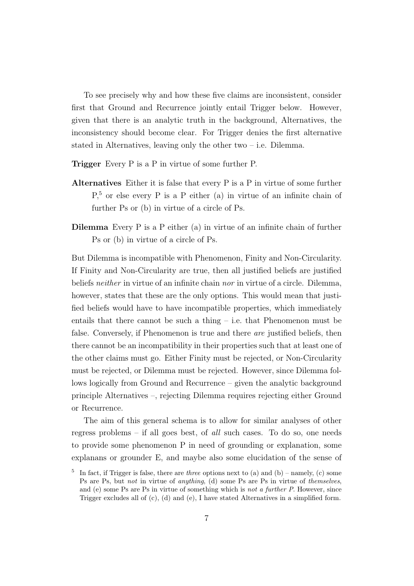To see precisely why and how these five claims are inconsistent, consider first that Ground and Recurrence jointly entail Trigger below. However, given that there is an analytic truth in the background, Alternatives, the inconsistency should become clear. For Trigger denies the first alternative stated in Alternatives, leaving only the other two – i.e. Dilemma.

Trigger Every P is a P in virtue of some further P.

- Alternatives Either it is false that every P is a P in virtue of some further  $P<sup>5</sup>$  $P<sup>5</sup>$  $P<sup>5</sup>$  or else every P is a P either (a) in virtue of an infinite chain of further Ps or (b) in virtue of a circle of Ps.
- Dilemma Every P is a P either (a) in virtue of an infinite chain of further Ps or (b) in virtue of a circle of Ps.

But Dilemma is incompatible with Phenomenon, Finity and Non-Circularity. If Finity and Non-Circularity are true, then all justified beliefs are justified beliefs neither in virtue of an infinite chain nor in virtue of a circle. Dilemma, however, states that these are the only options. This would mean that justified beliefs would have to have incompatible properties, which immediately entails that there cannot be such a thing – i.e. that Phenomenon must be false. Conversely, if Phenomenon is true and there are justified beliefs, then there cannot be an incompatibility in their properties such that at least one of the other claims must go. Either Finity must be rejected, or Non-Circularity must be rejected, or Dilemma must be rejected. However, since Dilemma follows logically from Ground and Recurrence – given the analytic background principle Alternatives –, rejecting Dilemma requires rejecting either Ground or Recurrence.

The aim of this general schema is to allow for similar analyses of other regress problems – if all goes best, of *all* such cases. To do so, one needs to provide some phenomenon P in need of grounding or explanation, some explanans or grounder E, and maybe also some elucidation of the sense of

<sup>&</sup>lt;sup>5</sup> In fact, if Trigger is false, there are *three* options next to (a) and (b) – namely, (c) some Ps are Ps, but not in virtue of anything, (d) some Ps are Ps in virtue of themselves, and (e) some Ps are Ps in virtue of something which is not a further P. However, since Trigger excludes all of (c), (d) and (e), I have stated Alternatives in a simplified form.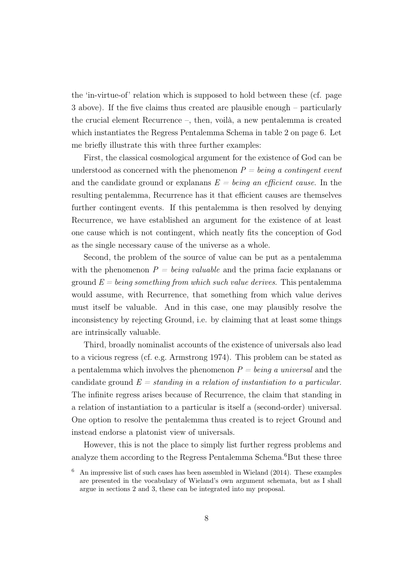the 'in-virtue-of' relation which is supposed to hold between these (cf. page [3](#page-3-0) above). If the five claims thus created are plausible enough – particularly the crucial element Recurrence –, then, voilà, a new pentalemma is created which instantiates the Regress Pentalemma Schema in table [2 on page 6.](#page-5-1) Let me briefly illustrate this with three further examples:

First, the classical cosmological argument for the existence of God can be understood as concerned with the phenomenon  $P = being a contingent event$ and the candidate ground or explanans  $E = being$  an efficient cause. In the resulting pentalemma, Recurrence has it that efficient causes are themselves further contingent events. If this pentalemma is then resolved by denying Recurrence, we have established an argument for the existence of at least one cause which is not contingent, which neatly fits the conception of God as the single necessary cause of the universe as a whole.

Second, the problem of the source of value can be put as a pentalemma with the phenomenon  $P = being \textit{valuable}$  and the prima facie explanans or ground  $E = being something from which such value derives. This pentalemma$ would assume, with Recurrence, that something from which value derives must itself be valuable. And in this case, one may plausibly resolve the inconsistency by rejecting Ground, i.e. by claiming that at least some things are intrinsically valuable.

Third, broadly nominalist accounts of the existence of universals also lead to a vicious regress (cf. e.g. [Armstrong 1974\)](#page-30-0). This problem can be stated as a pentalemma which involves the phenomenon  $P = being a universal$  and the candidate ground  $E = standing$  in a relation of instantiation to a particular. The infinite regress arises because of Recurrence, the claim that standing in a relation of instantiation to a particular is itself a (second-order) universal. One option to resolve the pentalemma thus created is to reject Ground and instead endorse a platonist view of universals.

However, this is not the place to simply list further regress problems and analyze them according to the Regress Pentalemma Schema. ${}^{6}$  ${}^{6}$  ${}^{6}$ But these three

<sup>6</sup> An impressive list of such cases has been assembled in Wieland [\(2014\)](#page-31-2). These examples are presented in the vocabulary of Wieland's own argument schemata, but as I shall argue in sections [2](#page-11-0) and [3,](#page-22-0) these can be integrated into my proposal.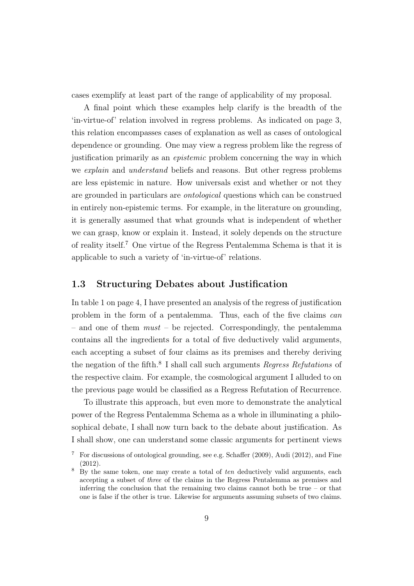cases exemplify at least part of the range of applicability of my proposal.

A final point which these examples help clarify is the breadth of the 'in-virtue-of' relation involved in regress problems. As indicated on page [3,](#page-3-0) this relation encompasses cases of explanation as well as cases of ontological dependence or grounding. One may view a regress problem like the regress of justification primarily as an epistemic problem concerning the way in which we explain and understand beliefs and reasons. But other regress problems are less epistemic in nature. How universals exist and whether or not they are grounded in particulars are ontological questions which can be construed in entirely non-epistemic terms. For example, in the literature on grounding, it is generally assumed that what grounds what is independent of whether we can grasp, know or explain it. Instead, it solely depends on the structure of reality itself.[7](#page-0-0) One virtue of the Regress Pentalemma Schema is that it is applicable to such a variety of 'in-virtue-of' relations.

#### <span id="page-8-0"></span>1.3 Structuring Debates about Justification

In table [1 on page 4,](#page-3-0) I have presented an analysis of the regress of justification problem in the form of a pentalemma. Thus, each of the five claims can – and one of them  $must$  – be rejected. Correspondingly, the pentalemma contains all the ingredients for a total of five deductively valid arguments, each accepting a subset of four claims as its premises and thereby deriving the negation of the fifth.<sup>[8](#page-0-0)</sup> I shall call such arguments *Regress Refutations* of the respective claim. For example, the cosmological argument I alluded to on the previous page would be classified as a Regress Refutation of Recurrence.

To illustrate this approach, but even more to demonstrate the analytical power of the Regress Pentalemma Schema as a whole in illuminating a philosophical debate, I shall now turn back to the debate about justification. As I shall show, one can understand some classic arguments for pertinent views

<sup>7</sup> For discussions of ontological grounding, see e.g. [Schaffer](#page-31-3) [\(2009\)](#page-31-3), [Audi](#page-30-1) [\(2012\)](#page-30-1), and [Fine](#page-30-2) [\(2012\)](#page-30-2).

<sup>&</sup>lt;sup>8</sup> By the same token, one may create a total of ten deductively valid arguments, each accepting a subset of three of the claims in the Regress Pentalemma as premises and inferring the conclusion that the remaining two claims cannot both be true – or that one is false if the other is true. Likewise for arguments assuming subsets of two claims.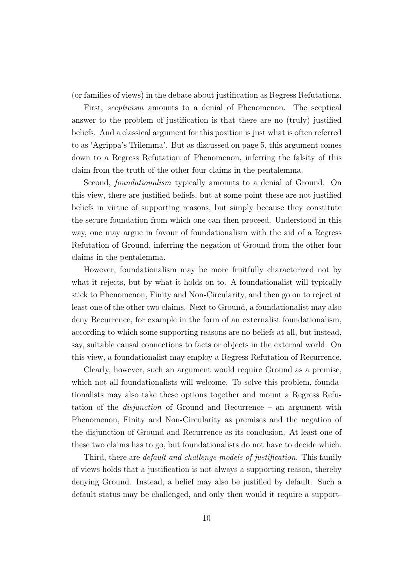(or families of views) in the debate about justification as Regress Refutations.

First, *scepticism* amounts to a denial of Phenomenon. The sceptical answer to the problem of justification is that there are no (truly) justified beliefs. And a classical argument for this position is just what is often referred to as 'Agrippa's Trilemma'. But as discussed on page [5,](#page-3-0) this argument comes down to a Regress Refutation of Phenomenon, inferring the falsity of this claim from the truth of the other four claims in the pentalemma.

Second, foundationalism typically amounts to a denial of Ground. On this view, there are justified beliefs, but at some point these are not justified beliefs in virtue of supporting reasons, but simply because they constitute the secure foundation from which one can then proceed. Understood in this way, one may argue in favour of foundationalism with the aid of a Regress Refutation of Ground, inferring the negation of Ground from the other four claims in the pentalemma.

However, foundationalism may be more fruitfully characterized not by what it rejects, but by what it holds on to. A foundationalist will typically stick to Phenomenon, Finity and Non-Circularity, and then go on to reject at least one of the other two claims. Next to Ground, a foundationalist may also deny Recurrence, for example in the form of an externalist foundationalism, according to which some supporting reasons are no beliefs at all, but instead, say, suitable causal connections to facts or objects in the external world. On this view, a foundationalist may employ a Regress Refutation of Recurrence.

Clearly, however, such an argument would require Ground as a premise, which not all foundationalists will welcome. To solve this problem, foundationalists may also take these options together and mount a Regress Refutation of the disjunction of Ground and Recurrence – an argument with Phenomenon, Finity and Non-Circularity as premises and the negation of the disjunction of Ground and Recurrence as its conclusion. At least one of these two claims has to go, but foundationalists do not have to decide which.

Third, there are *default and challenge models of justification*. This family of views holds that a justification is not always a supporting reason, thereby denying Ground. Instead, a belief may also be justified by default. Such a default status may be challenged, and only then would it require a support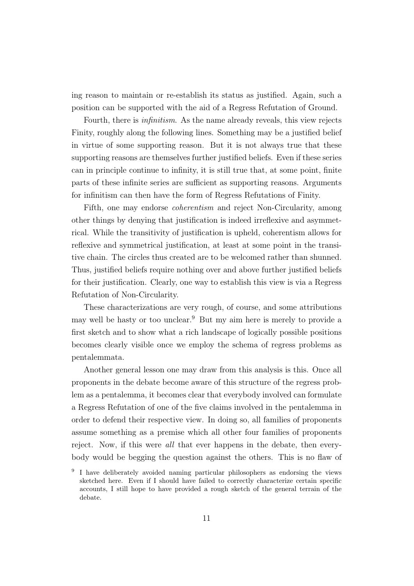ing reason to maintain or re-establish its status as justified. Again, such a position can be supported with the aid of a Regress Refutation of Ground.

Fourth, there is *infinitism*. As the name already reveals, this view rejects Finity, roughly along the following lines. Something may be a justified belief in virtue of some supporting reason. But it is not always true that these supporting reasons are themselves further justified beliefs. Even if these series can in principle continue to infinity, it is still true that, at some point, finite parts of these infinite series are sufficient as supporting reasons. Arguments for infinitism can then have the form of Regress Refutations of Finity.

Fifth, one may endorse coherentism and reject Non-Circularity, among other things by denying that justification is indeed irreflexive and asymmetrical. While the transitivity of justification is upheld, coherentism allows for reflexive and symmetrical justification, at least at some point in the transitive chain. The circles thus created are to be welcomed rather than shunned. Thus, justified beliefs require nothing over and above further justified beliefs for their justification. Clearly, one way to establish this view is via a Regress Refutation of Non-Circularity.

These characterizations are very rough, of course, and some attributions may well be hasty or too unclear.[9](#page-0-0) But my aim here is merely to provide a first sketch and to show what a rich landscape of logically possible positions becomes clearly visible once we employ the schema of regress problems as pentalemmata.

Another general lesson one may draw from this analysis is this. Once all proponents in the debate become aware of this structure of the regress problem as a pentalemma, it becomes clear that everybody involved can formulate a Regress Refutation of one of the five claims involved in the pentalemma in order to defend their respective view. In doing so, all families of proponents assume something as a premise which all other four families of proponents reject. Now, if this were all that ever happens in the debate, then everybody would be begging the question against the others. This is no flaw of

<sup>&</sup>lt;sup>9</sup> I have deliberately avoided naming particular philosophers as endorsing the views sketched here. Even if I should have failed to correctly characterize certain specific accounts, I still hope to have provided a rough sketch of the general terrain of the debate.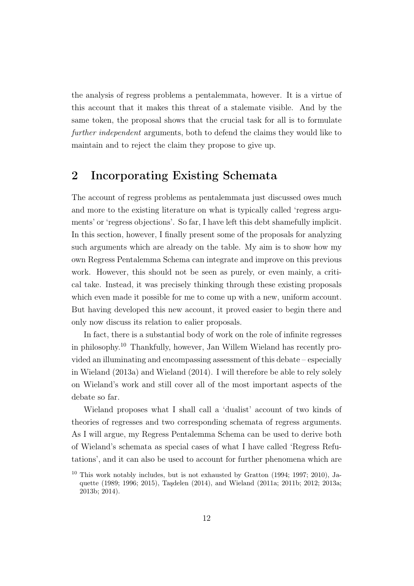the analysis of regress problems a pentalemmata, however. It is a virtue of this account that it makes this threat of a stalemate visible. And by the same token, the proposal shows that the crucial task for all is to formulate further independent arguments, both to defend the claims they would like to maintain and to reject the claim they propose to give up.

# <span id="page-11-0"></span>2 Incorporating Existing Schemata

The account of regress problems as pentalemmata just discussed owes much and more to the existing literature on what is typically called 'regress arguments' or 'regress objections'. So far, I have left this debt shamefully implicit. In this section, however, I finally present some of the proposals for analyzing such arguments which are already on the table. My aim is to show how my own Regress Pentalemma Schema can integrate and improve on this previous work. However, this should not be seen as purely, or even mainly, a critical take. Instead, it was precisely thinking through these existing proposals which even made it possible for me to come up with a new, uniform account. But having developed this new account, it proved easier to begin there and only now discuss its relation to ealier proposals.

In fact, there is a substantial body of work on the role of infinite regresses in philosophy.[10](#page-0-0) Thankfully, however, Jan Willem Wieland has recently provided an illuminating and encompassing assessment of this debate – especially in [Wieland](#page-31-4) [\(2013a\)](#page-31-4) and [Wieland](#page-31-2) [\(2014\)](#page-31-2). I will therefore be able to rely solely on Wieland's work and still cover all of the most important aspects of the debate so far.

Wieland proposes what I shall call a 'dualist' account of two kinds of theories of regresses and two corresponding schemata of regress arguments. As I will argue, my Regress Pentalemma Schema can be used to derive both of Wieland's schemata as special cases of what I have called 'Regress Refutations', and it can also be used to account for further phenomena which are

<sup>10</sup> This work notably includes, but is not exhausted by Gratton [\(1994;](#page-30-3) [1997;](#page-30-4) [2010\)](#page-30-5), Jaquette [\(1989;](#page-30-6) [1996;](#page-31-5) [2015\)](#page-31-6), [Taşdelen](#page-31-7) [\(2014\)](#page-31-7), and Wieland [\(2011a;](#page-31-8) [2011b;](#page-31-9) [2012;](#page-31-10) [2013a;](#page-31-4) [2013b;](#page-31-11) [2014\)](#page-31-2).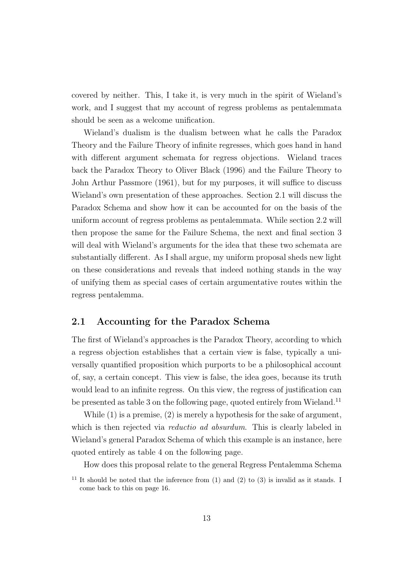covered by neither. This, I take it, is very much in the spirit of Wieland's work, and I suggest that my account of regress problems as pentalemmata should be seen as a welcome unification.

Wieland's dualism is the dualism between what he calls the Paradox Theory and the Failure Theory of infinite regresses, which goes hand in hand with different argument schemata for regress objections. Wieland traces back the Paradox Theory to Oliver [Black](#page-30-7) [\(1996\)](#page-30-7) and the Failure Theory to John Arthur [Passmore](#page-31-12) [\(1961\)](#page-31-12), but for my purposes, it will suffice to discuss Wieland's own presentation of these approaches. Section [2.1](#page-12-0) will discuss the Paradox Schema and show how it can be accounted for on the basis of the uniform account of regress problems as pentalemmata. While section [2.2](#page-16-0) will then propose the same for the Failure Schema, the next and final section [3](#page-22-0) will deal with Wieland's arguments for the idea that these two schemata are substantially different. As I shall argue, my uniform proposal sheds new light on these considerations and reveals that indeed nothing stands in the way of unifying them as special cases of certain argumentative routes within the regress pentalemma.

### <span id="page-12-0"></span>2.1 Accounting for the Paradox Schema

The first of Wieland's approaches is the Paradox Theory, according to which a regress objection establishes that a certain view is false, typically a universally quantified proposition which purports to be a philosophical account of, say, a certain concept. This view is false, the idea goes, because its truth would lead to an infinite regress. On this view, the regress of justification can be presented as table [3 on the following page,](#page-13-0) quoted entirely from Wieland.<sup>[11](#page-0-0)</sup>

While (1) is a premise, (2) is merely a hypothesis for the sake of argument, which is then rejected via *reductio ad absurdum*. This is clearly labeled in Wieland's general Paradox Schema of which this example is an instance, here quoted entirely as table [4 on the following page.](#page-13-1)

How does this proposal relate to the general Regress Pentalemma Schema

<sup>&</sup>lt;sup>11</sup> It should be noted that the inference from (1) and (2) to (3) is invalid as it stands. I come back to this on page [16.](#page-13-2)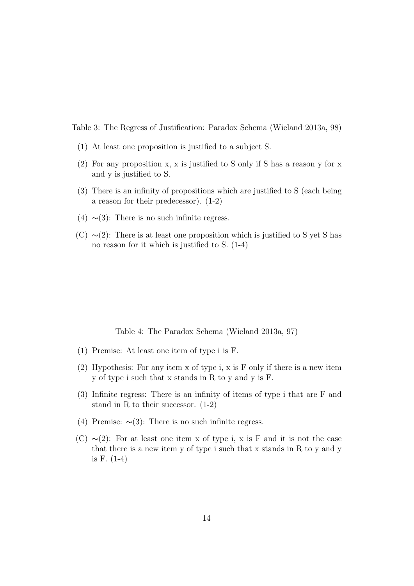<span id="page-13-0"></span>Table 3: The Regress of Justification: Paradox Schema [\(Wieland 2013a,](#page-31-4) 98)

- (1) At least one proposition is justified to a subject S.
- (2) For any proposition x, x is justified to S only if S has a reason y for x and y is justified to S.
- (3) There is an infinity of propositions which are justified to S (each being a reason for their predecessor). (1-2)
- (4)  $\sim$ (3): There is no such infinite regress.
- (C)  $~\sim$ (2): There is at least one proposition which is justified to S yet S has no reason for it which is justified to S. (1-4)

<span id="page-13-1"></span>Table 4: The Paradox Schema [\(Wieland 2013a,](#page-31-4) 97)

- (1) Premise: At least one item of type i is F.
- (2) Hypothesis: For any item x of type i, x is F only if there is a new item y of type i such that x stands in R to y and y is F.
- (3) Infinite regress: There is an infinity of items of type i that are F and stand in R to their successor. (1-2)
- <span id="page-13-2"></span>(4) Premise:  $\sim$ (3): There is no such infinite regress.
- (C)  $\sim$ (2): For at least one item x of type i, x is F and it is not the case that there is a new item y of type i such that x stands in R to y and y is F. (1-4)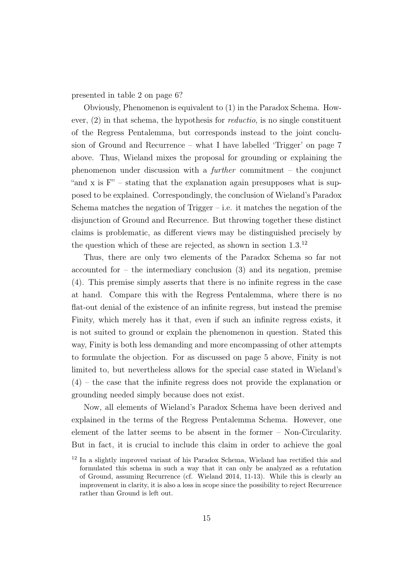presented in table [2 on page 6?](#page-5-1)

Obviously, Phenomenon is equivalent to (1) in the Paradox Schema. However, (2) in that schema, the hypothesis for reductio, is no single constituent of the Regress Pentalemma, but corresponds instead to the joint conclusion of Ground and Recurrence – what I have labelled 'Trigger' on page [7](#page-5-1) above. Thus, Wieland mixes the proposal for grounding or explaining the phenomenon under discussion with a  $further$  commitment – the conjunct "and x is  $F$ " – stating that the explanation again presupposes what is supposed to be explained. Correspondingly, the conclusion of Wieland's Paradox Schema matches the negation of Trigger – i.e. it matches the negation of the disjunction of Ground and Recurrence. But throwing together these distinct claims is problematic, as different views may be distinguished precisely by the question which of these are rejected, as shown in section  $1.3^{12}$  $1.3^{12}$  $1.3^{12}$ 

Thus, there are only two elements of the Paradox Schema so far not accounted for – the intermediary conclusion  $(3)$  and its negation, premise (4). This premise simply asserts that there is no infinite regress in the case at hand. Compare this with the Regress Pentalemma, where there is no flat-out denial of the existence of an infinite regress, but instead the premise Finity, which merely has it that, even if such an infinite regress exists, it is not suited to ground or explain the phenomenon in question. Stated this way, Finity is both less demanding and more encompassing of other attempts to formulate the objection. For as discussed on page [5](#page-3-0) above, Finity is not limited to, but nevertheless allows for the special case stated in Wieland's (4) – the case that the infinite regress does not provide the explanation or grounding needed simply because does not exist.

Now, all elements of Wieland's Paradox Schema have been derived and explained in the terms of the Regress Pentalemma Schema. However, one element of the latter seems to be absent in the former – Non-Circularity. But in fact, it is crucial to include this claim in order to achieve the goal

<sup>12</sup> In a slightly improved variant of his Paradox Schema, Wieland has rectified this and formulated this schema in such a way that it can only be analyzed as a refutation of Ground, assuming Recurrence (cf. [Wieland 2014,](#page-31-2) 11-13). While this is clearly an improvement in clarity, it is also a loss in scope since the possibility to reject Recurrence rather than Ground is left out.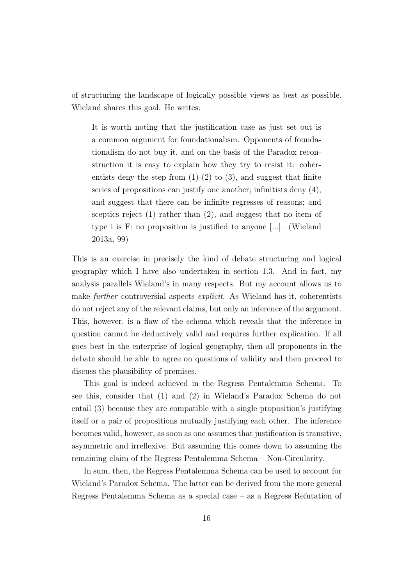of structuring the landscape of logically possible views as best as possible. Wieland shares this goal. He writes:

It is worth noting that the justification case as just set out is a common argument for foundationalism. Opponents of foundationalism do not buy it, and on the basis of the Paradox reconstruction it is easy to explain how they try to resist it: coherentists deny the step from  $(1)-(2)$  to  $(3)$ , and suggest that finite series of propositions can justify one another; infinitists deny (4), and suggest that there can be infinite regresses of reasons; and sceptics reject (1) rather than (2), and suggest that no item of type i is F: no proposition is justified to anyone [...]. [\(Wieland](#page-31-4) [2013a,](#page-31-4) 99)

This is an exercise in precisely the kind of debate structuring and logical geography which I have also undertaken in section [1.3.](#page-8-0) And in fact, my analysis parallels Wieland's in many respects. But my account allows us to make further controversial aspects explicit. As Wieland has it, coherentists do not reject any of the relevant claims, but only an inference of the argument. This, however, is a flaw of the schema which reveals that the inference in question cannot be deductively valid and requires further explication. If all goes best in the enterprise of logical geography, then all proponents in the debate should be able to agree on questions of validity and then proceed to discuss the plausibility of premises.

This goal is indeed achieved in the Regress Pentalemma Schema. To see this, consider that (1) and (2) in Wieland's Paradox Schema do not entail (3) because they are compatible with a single proposition's justifying itself or a pair of propositions mutually justifying each other. The inference becomes valid, however, as soon as one assumes that justification is transitive, asymmetric and irreflexive. But assuming this comes down to assuming the remaining claim of the Regress Pentalemma Schema – Non-Circularity.

In sum, then, the Regress Pentalemma Schema can be used to account for Wieland's Paradox Schema. The latter can be derived from the more general Regress Pentalemma Schema as a special case – as a Regress Refutation of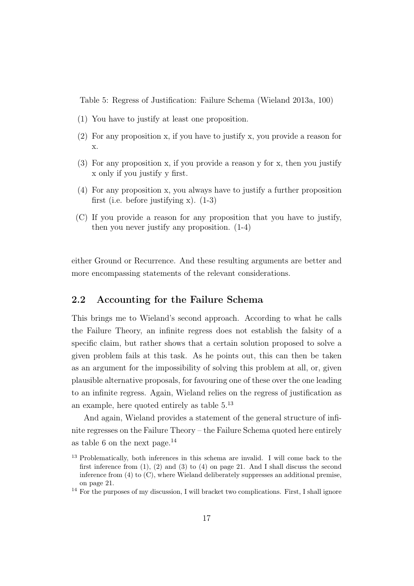<span id="page-16-1"></span>Table 5: Regress of Justification: Failure Schema [\(Wieland 2013a,](#page-31-4) 100)

- (1) You have to justify at least one proposition.
- (2) For any proposition x, if you have to justify x, you provide a reason for x.
- (3) For any proposition x, if you provide a reason y for x, then you justify x only if you justify y first.
- (4) For any proposition x, you always have to justify a further proposition first (i.e. before justifying x).  $(1-3)$
- (C) If you provide a reason for any proposition that you have to justify, then you never justify any proposition. (1-4)

either Ground or Recurrence. And these resulting arguments are better and more encompassing statements of the relevant considerations.

### <span id="page-16-0"></span>2.2 Accounting for the Failure Schema

This brings me to Wieland's second approach. According to what he calls the Failure Theory, an infinite regress does not establish the falsity of a specific claim, but rather shows that a certain solution proposed to solve a given problem fails at this task. As he points out, this can then be taken as an argument for the impossibility of solving this problem at all, or, given plausible alternative proposals, for favouring one of these over the one leading to an infinite regress. Again, Wieland relies on the regress of justification as an example, here quoted entirely as table [5.](#page-16-1)[13](#page-0-0)

And again, Wieland provides a statement of the general structure of infinite regresses on the Failure Theory – the Failure Schema quoted here entirely as table [6 on the next page.](#page-17-0) $^{14}$  $^{14}$  $^{14}$ 

<sup>&</sup>lt;sup>13</sup> Problematically, both inferences in this schema are invalid. I will come back to the first inference from  $(1)$ ,  $(2)$  and  $(3)$  to  $(4)$  on page [21.](#page-17-1) And I shall discuss the second inference from  $(4)$  to  $(C)$ , where Wieland deliberately suppresses an additional premise, on page [21.](#page-17-1)

<sup>&</sup>lt;sup>14</sup> For the purposes of my discussion, I will bracket two complications. First, I shall ignore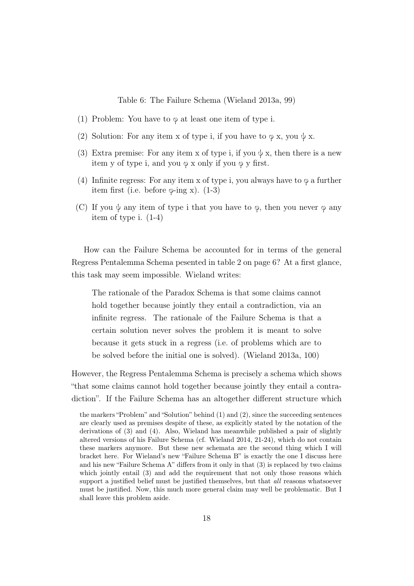<span id="page-17-0"></span>Table 6: The Failure Schema [\(Wieland 2013a,](#page-31-4) 99)

- (1) Problem: You have to φ at least one item of type i.
- (2) Solution: For any item x of type i, if you have to  $\varphi$  x, you  $\psi$  x.
- (3) Extra premise: For any item x of type i, if you  $\psi$  x, then there is a new item y of type i, and you  $\varphi$  x only if you  $\varphi$  y first.
- <span id="page-17-1"></span>(4) Infinite regress: For any item x of type i, you always have to  $\varphi$  a further item first (i.e. before  $\varphi$ -ing x). (1-3)
- (C) If you  $\psi$  any item of type i that you have to  $\varphi$ , then you never  $\varphi$  any item of type i. (1-4)

How can the Failure Schema be accounted for in terms of the general Regress Pentalemma Schema pesented in table [2 on page 6?](#page-5-1) At a first glance, this task may seem impossible. Wieland writes:

The rationale of the Paradox Schema is that some claims cannot hold together because jointly they entail a contradiction, via an infinite regress. The rationale of the Failure Schema is that a certain solution never solves the problem it is meant to solve because it gets stuck in a regress (i.e. of problems which are to be solved before the initial one is solved). [\(Wieland 2013a,](#page-31-4) 100)

However, the Regress Pentalemma Schema is precisely a schema which shows "that some claims cannot hold together because jointly they entail a contradiction". If the Failure Schema has an altogether different structure which

the markers "Problem" and "Solution" behind (1) and (2), since the succeeding sentences are clearly used as premises despite of these, as explicitly stated by the notation of the derivations of (3) and (4). Also, Wieland has meanwhile published a pair of slightly altered versions of his Failure Schema (cf. [Wieland 2014,](#page-31-2) 21-24), which do not contain these markers anymore. But these new schemata are the second thing which I will bracket here. For Wieland's new "Failure Schema B" is exactly the one I discuss here and his new "Failure Schema A" differs from it only in that (3) is replaced by two claims which jointly entail (3) and add the requirement that not only those reasons which support a justified belief must be justified themselves, but that *all* reasons whatsoever must be justified. Now, this much more general claim may well be problematic. But I shall leave this problem aside.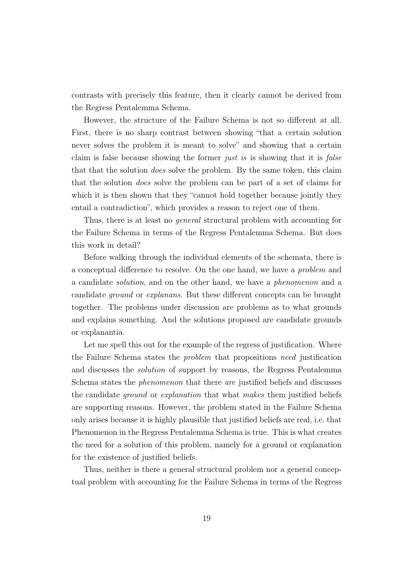contrasts with precisely this feature, then it clearly cannot be derived from the Regress Pentalemma Schema.

However, the structure of the Failure Schema is not so different at all. First, there is no sharp contrast between showing "that a certain solution never solves the problem it is meant to solve" and showing that a certain claim is false because showing the former *just is* is showing that it is *false* that that the solution does solve the problem. By the same token, this claim that the solution does solve the problem can be part of a set of claims for which it is then shown that they "cannot hold together because jointly they entail a contradiction", which provides a reason to reject one of them.

Thus, there is at least no *general* structural problem with accounting for the Failure Schema in terms of the Regress Pentalemma Schema. But does this work in detail?

Before walking through the individual elements of the schemata, there is a conceptual difference to resolve. On the one hand, we have a problem and a candidate solution, and on the other hand, we have a phenomenon and a candidate ground or explanans. But these different concepts can be brought together. The problems under discussion are problems as to what grounds and explains something. And the solutions proposed are candidate grounds or explanantia.

Let me spell this out for the example of the regress of justification. Where the Failure Schema states the problem that propositions need justification and discusses the solution of support by reasons, the Regress Pentalemma Schema states the *phenomenon* that there are justified beliefs and discusses the candidate ground or explanation that what makes them justified beliefs are supporting reasons. However, the problem stated in the Failure Schema only arises because it is highly plausible that justified beliefs are real, i.e. that Phenomenon in the Regress Pentalemma Schema is true. This is what creates the need for a solution of this problem, namely for a ground or explanation for the existence of justified beliefs.

Thus, neither is there a general structural problem nor a general conceptual problem with accounting for the Failure Schema in terms of the Regress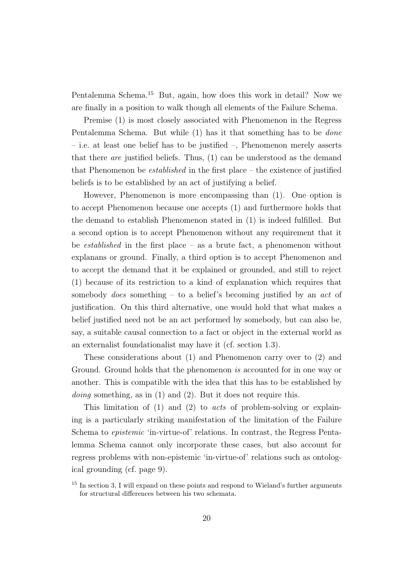Pentalemma Schema.[15](#page-0-0) But, again, how does this work in detail? Now we are finally in a position to walk though all elements of the Failure Schema.

Premise (1) is most closely associated with Phenomenon in the Regress Pentalemma Schema. But while (1) has it that something has to be done – i.e. at least one belief has to be justified –, Phenomenon merely asserts that there are justified beliefs. Thus, (1) can be understood as the demand that Phenomenon be established in the first place – the existence of justified beliefs is to be established by an act of justifying a belief.

However, Phenomenon is more encompassing than (1). One option is to accept Phenomenon because one accepts (1) and furthermore holds that the demand to establish Phenomenon stated in (1) is indeed fulfilled. But a second option is to accept Phenomenon without any requirement that it be established in the first place – as a brute fact, a phenomenon without explanans or ground. Finally, a third option is to accept Phenomenon and to accept the demand that it be explained or grounded, and still to reject (1) because of its restriction to a kind of explanation which requires that somebody *does* something – to a belief's becoming justified by an *act* of justification. On this third alternative, one would hold that what makes a belief justified need not be an act performed by somebody, but can also be, say, a suitable causal connection to a fact or object in the external world as an externalist foundationalist may have it (cf. section [1.3\)](#page-8-0).

These considerations about (1) and Phenomenon carry over to (2) and Ground. Ground holds that the phenomenon is accounted for in one way or another. This is compatible with the idea that this has to be established by doing something, as in (1) and (2). But it does not require this.

This limitation of (1) and (2) to acts of problem-solving or explaining is a particularly striking manifestation of the limitation of the Failure Schema to epistemic 'in-virtue-of' relations. In contrast, the Regress Pentalemma Schema cannot only incorporate these cases, but also account for regress problems with non-epistemic 'in-virtue-of' relations such as ontological grounding (cf. page [9\)](#page-5-1).

<sup>15</sup> In section [3,](#page-22-0) I will expand on these points and respond to Wieland's further arguments for structural differences between his two schemata.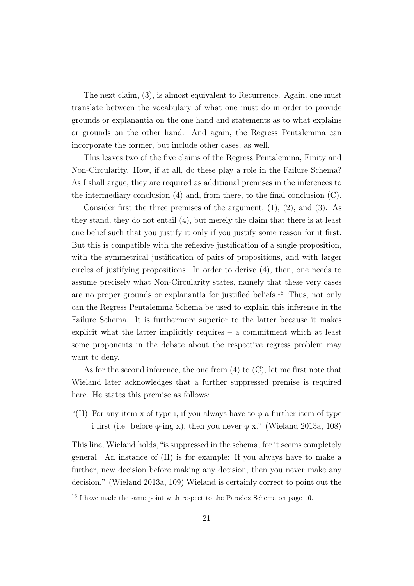The next claim, (3), is almost equivalent to Recurrence. Again, one must translate between the vocabulary of what one must do in order to provide grounds or explanantia on the one hand and statements as to what explains or grounds on the other hand. And again, the Regress Pentalemma can incorporate the former, but include other cases, as well.

This leaves two of the five claims of the Regress Pentalemma, Finity and Non-Circularity. How, if at all, do these play a role in the Failure Schema? As I shall argue, they are required as additional premises in the inferences to the intermediary conclusion  $(4)$  and, from there, to the final conclusion  $(C)$ .

Consider first the three premises of the argument,  $(1)$ ,  $(2)$ , and  $(3)$ . As they stand, they do not entail (4), but merely the claim that there is at least one belief such that you justify it only if you justify some reason for it first. But this is compatible with the reflexive justification of a single proposition, with the symmetrical justification of pairs of propositions, and with larger circles of justifying propositions. In order to derive (4), then, one needs to assume precisely what Non-Circularity states, namely that these very cases are no proper grounds or explanantia for justified beliefs.[16](#page-0-0) Thus, not only can the Regress Pentalemma Schema be used to explain this inference in the Failure Schema. It is furthermore superior to the latter because it makes explicit what the latter implicitly requires – a commitment which at least some proponents in the debate about the respective regress problem may want to deny.

As for the second inference, the one from  $(4)$  to  $(C)$ , let me first note that Wieland later acknowledges that a further suppressed premise is required here. He states this premise as follows:

"(II) For any item x of type i, if you always have to  $\varphi$  a further item of type i first (i.e. before  $\varphi$ -ing x), then you never  $\varphi$  x." [\(Wieland 2013a,](#page-31-4) 108)

This line, Wieland holds, "is suppressed in the schema, for it seems completely general. An instance of (II) is for example: If you always have to make a further, new decision before making any decision, then you never make any decision." [\(Wieland 2013a,](#page-31-4) 109) Wieland is certainly correct to point out the

 $^{16}$  I have made the same point with respect to the Paradox Schema on page [16.](#page-13-2)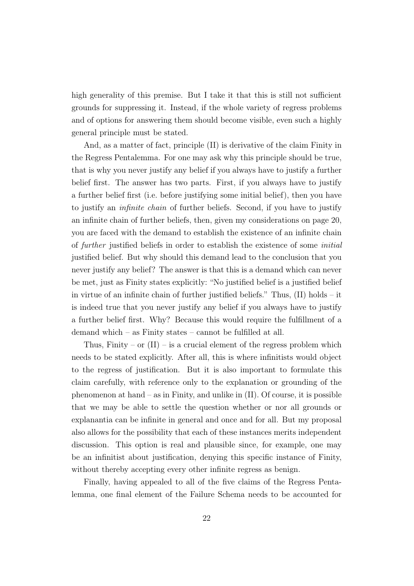high generality of this premise. But I take it that this is still not sufficient grounds for suppressing it. Instead, if the whole variety of regress problems and of options for answering them should become visible, even such a highly general principle must be stated.

And, as a matter of fact, principle (II) is derivative of the claim Finity in the Regress Pentalemma. For one may ask why this principle should be true, that is why you never justify any belief if you always have to justify a further belief first. The answer has two parts. First, if you always have to justify a further belief first (i.e. before justifying some initial belief), then you have to justify an infinite chain of further beliefs. Second, if you have to justify an infinite chain of further beliefs, then, given my considerations on page [20,](#page-17-1) you are faced with the demand to establish the existence of an infinite chain of further justified beliefs in order to establish the existence of some initial justified belief. But why should this demand lead to the conclusion that you never justify any belief? The answer is that this is a demand which can never be met, just as Finity states explicitly: "No justified belief is a justified belief in virtue of an infinite chain of further justified beliefs." Thus, (II) holds – it is indeed true that you never justify any belief if you always have to justify a further belief first. Why? Because this would require the fulfillment of a demand which – as Finity states – cannot be fulfilled at all.

Thus, Finity – or  $(II)$  – is a crucial element of the regress problem which needs to be stated explicitly. After all, this is where infinitists would object to the regress of justification. But it is also important to formulate this claim carefully, with reference only to the explanation or grounding of the phenomenon at hand – as in Finity, and unlike in (II). Of course, it is possible that we may be able to settle the question whether or nor all grounds or explanantia can be infinite in general and once and for all. But my proposal also allows for the possibility that each of these instances merits independent discussion. This option is real and plausible since, for example, one may be an infinitist about justification, denying this specific instance of Finity, without thereby accepting every other infinite regress as benign.

Finally, having appealed to all of the five claims of the Regress Pentalemma, one final element of the Failure Schema needs to be accounted for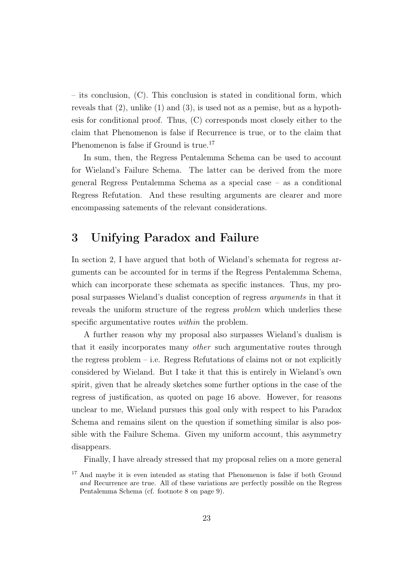$-$  its conclusion,  $(C)$ . This conclusion is stated in conditional form, which reveals that (2), unlike (1) and (3), is used not as a pemise, but as a hypothesis for conditional proof. Thus, (C) corresponds most closely either to the claim that Phenomenon is false if Recurrence is true, or to the claim that Phenomenon is false if Ground is true.<sup>[17](#page-0-0)</sup>

In sum, then, the Regress Pentalemma Schema can be used to account for Wieland's Failure Schema. The latter can be derived from the more general Regress Pentalemma Schema as a special case – as a conditional Regress Refutation. And these resulting arguments are clearer and more encompassing satements of the relevant considerations.

## <span id="page-22-0"></span>3 Unifying Paradox and Failure

In section [2,](#page-11-0) I have argued that both of Wieland's schemata for regress arguments can be accounted for in terms if the Regress Pentalemma Schema, which can incorporate these schemata as specific instances. Thus, my proposal surpasses Wieland's dualist conception of regress arguments in that it reveals the uniform structure of the regress *problem* which underlies these specific argumentative routes *within* the problem.

A further reason why my proposal also surpasses Wieland's dualism is that it easily incorporates many other such argumentative routes through the regress problem – i.e. Regress Refutations of claims not or not explicitly considered by Wieland. But I take it that this is entirely in Wieland's own spirit, given that he already sketches some further options in the case of the regress of justification, as quoted on page [16](#page-13-2) above. However, for reasons unclear to me, Wieland pursues this goal only with respect to his Paradox Schema and remains silent on the question if something similar is also possible with the Failure Schema. Given my uniform account, this asymmetry disappears.

Finally, I have already stressed that my proposal relies on a more general

<sup>&</sup>lt;sup>17</sup> And maybe it is even intended as stating that Phenomenon is false if both Ground and Recurrence are true. All of these variations are perfectly possible on the Regress Pentalemma Schema (cf. footnote [8 on page 9\)](#page-8-0).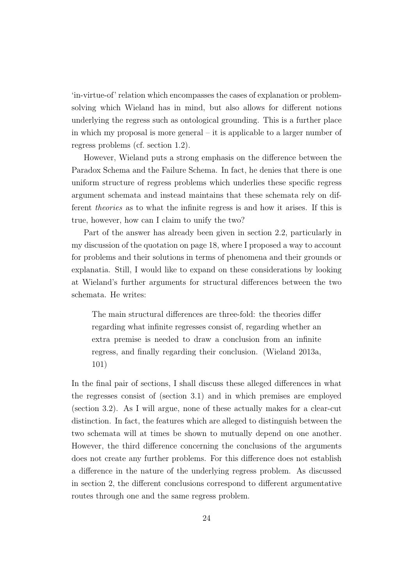'in-virtue-of' relation which encompasses the cases of explanation or problemsolving which Wieland has in mind, but also allows for different notions underlying the regress such as ontological grounding. This is a further place in which my proposal is more general – it is applicable to a larger number of regress problems (cf. section [1.2\)](#page-5-0).

However, Wieland puts a strong emphasis on the difference between the Paradox Schema and the Failure Schema. In fact, he denies that there is one uniform structure of regress problems which underlies these specific regress argument schemata and instead maintains that these schemata rely on different theories as to what the infinite regress is and how it arises. If this is true, however, how can I claim to unify the two?

Part of the answer has already been given in section [2.2,](#page-16-0) particularly in my discussion of the quotation on page [18,](#page-17-1) where I proposed a way to account for problems and their solutions in terms of phenomena and their grounds or explanatia. Still, I would like to expand on these considerations by looking at Wieland's further arguments for structural differences between the two schemata. He writes:

The main structural differences are three-fold: the theories differ regarding what infinite regresses consist of, regarding whether an extra premise is needed to draw a conclusion from an infinite regress, and finally regarding their conclusion. [\(Wieland 2013a,](#page-31-4) 101)

In the final pair of sections, I shall discuss these alleged differences in what the regresses consist of (section [3.1\)](#page-24-0) and in which premises are employed (section [3.2\)](#page-27-0). As I will argue, none of these actually makes for a clear-cut distinction. In fact, the features which are alleged to distinguish between the two schemata will at times be shown to mutually depend on one another. However, the third difference concerning the conclusions of the arguments does not create any further problems. For this difference does not establish a difference in the nature of the underlying regress problem. As discussed in section [2,](#page-11-0) the different conclusions correspond to different argumentative routes through one and the same regress problem.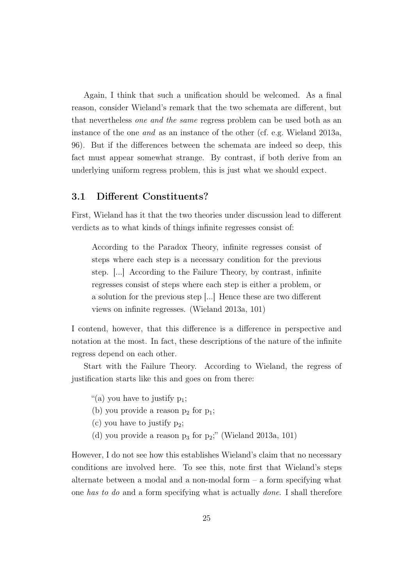Again, I think that such a unification should be welcomed. As a final reason, consider Wieland's remark that the two schemata are different, but that nevertheless one and the same regress problem can be used both as an instance of the one and as an instance of the other (cf. e.g. [Wieland 2013a,](#page-31-4) 96). But if the differences between the schemata are indeed so deep, this fact must appear somewhat strange. By contrast, if both derive from an underlying uniform regress problem, this is just what we should expect.

### <span id="page-24-0"></span>3.1 Different Constituents?

First, Wieland has it that the two theories under discussion lead to different verdicts as to what kinds of things infinite regresses consist of:

According to the Paradox Theory, infinite regresses consist of steps where each step is a necessary condition for the previous step. [...] According to the Failure Theory, by contrast, infinite regresses consist of steps where each step is either a problem, or a solution for the previous step [...] Hence these are two different views on infinite regresses. [\(Wieland 2013a,](#page-31-4) 101)

I contend, however, that this difference is a difference in perspective and notation at the most. In fact, these descriptions of the nature of the infinite regress depend on each other.

Start with the Failure Theory. According to Wieland, the regress of justification starts like this and goes on from there:

- "(a) you have to justify  $p_1$ ;
- (b) you provide a reason  $p_2$  for  $p_1$ ;
- (c) you have to justify  $p_2$ ;
- (d) you provide a reason  $p_3$  for  $p_2$ ;" [\(Wieland 2013a,](#page-31-4) 101)

However, I do not see how this establishes Wieland's claim that no necessary conditions are involved here. To see this, note first that Wieland's steps alternate between a modal and a non-modal form  $-$  a form specifying what one has to do and a form specifying what is actually done. I shall therefore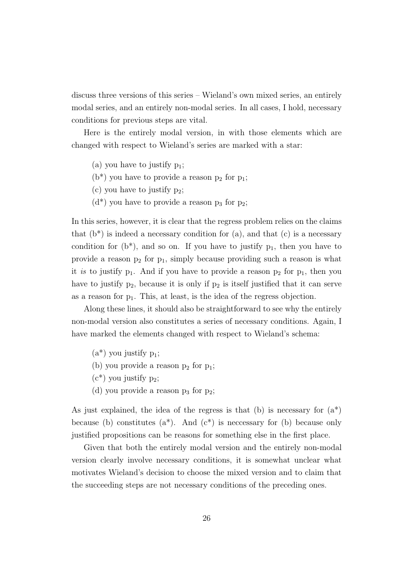discuss three versions of this series – Wieland's own mixed series, an entirely modal series, and an entirely non-modal series. In all cases, I hold, necessary conditions for previous steps are vital.

Here is the entirely modal version, in with those elements which are changed with respect to Wieland's series are marked with a star:

- (a) you have to justify  $p_1$ ;
- $(b^*)$  you have to provide a reason  $p_2$  for  $p_1$ ;
- (c) you have to justify  $p_2$ ;
- $(d^*)$  you have to provide a reason  $p_3$  for  $p_2$ ;

In this series, however, it is clear that the regress problem relies on the claims that  $(b^*)$  is indeed a necessary condition for (a), and that (c) is a necessary condition for  $(b^*)$ , and so on. If you have to justify  $p_1$ , then you have to provide a reason  $p_2$  for  $p_1$ , simply because providing such a reason is what it is to justify  $p_1$ . And if you have to provide a reason  $p_2$  for  $p_1$ , then you have to justify  $p_2$ , because it is only if  $p_2$  is itself justified that it can serve as a reason for  $p_1$ . This, at least, is the idea of the regress objection.

Along these lines, it should also be straightforward to see why the entirely non-modal version also constitutes a series of necessary conditions. Again, I have marked the elements changed with respect to Wieland's schema:

- $(a^*)$  you justify  $p_1$ ;
- (b) you provide a reason  $p_2$  for  $p_1$ ;
- $(c^*)$  you justify  $p_2$ ;
- (d) you provide a reason  $p_3$  for  $p_2$ ;

As just explained, the idea of the regress is that (b) is necessary for  $(a^*)$ because (b) constitutes  $(a^*)$ . And  $(c^*)$  is necessary for (b) because only justified propositions can be reasons for something else in the first place.

Given that both the entirely modal version and the entirely non-modal version clearly involve necessary conditions, it is somewhat unclear what motivates Wieland's decision to choose the mixed version and to claim that the succeeding steps are not necessary conditions of the preceding ones.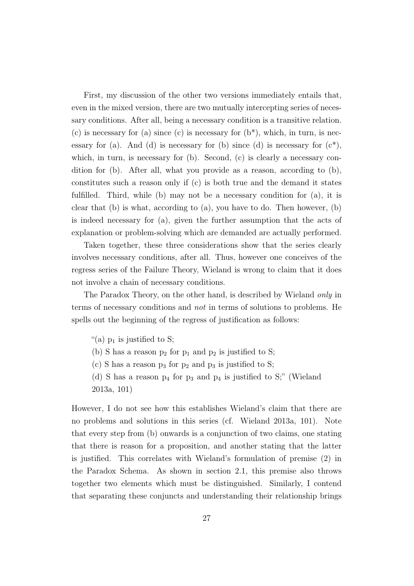First, my discussion of the other two versions immediately entails that, even in the mixed version, there are two mutually intercepting series of necessary conditions. After all, being a necessary condition is a transitive relation. (c) is necessary for (a) since (c) is necessary for  $(b^*)$ , which, in turn, is necessary for (a). And (d) is necessary for (b) since (d) is necessary for  $(c^*),$ which, in turn, is necessary for (b). Second, (c) is clearly a necessary condition for (b). After all, what you provide as a reason, according to (b), constitutes such a reason only if (c) is both true and the demand it states fulfilled. Third, while (b) may not be a necessary condition for (a), it is clear that (b) is what, according to (a), you have to do. Then however, (b) is indeed necessary for (a), given the further assumption that the acts of explanation or problem-solving which are demanded are actually performed.

Taken together, these three considerations show that the series clearly involves necessary conditions, after all. Thus, however one conceives of the regress series of the Failure Theory, Wieland is wrong to claim that it does not involve a chain of necessary conditions.

The Paradox Theory, on the other hand, is described by Wieland only in terms of necessary conditions and not in terms of solutions to problems. He spells out the beginning of the regress of justification as follows:

"(a)  $p_1$  is justified to S;

- (b) S has a reason  $p_2$  for  $p_1$  and  $p_2$  is justified to S;
- (c) S has a reason  $p_3$  for  $p_2$  and  $p_3$  is justified to S;
- (d) S has a reason  $p_4$  for  $p_3$  and  $p_4$  is justified to S;" [\(Wieland](#page-31-4)
- [2013a,](#page-31-4) 101)

However, I do not see how this establishes Wieland's claim that there are no problems and solutions in this series (cf. [Wieland 2013a,](#page-31-4) 101). Note that every step from (b) onwards is a conjunction of two claims, one stating that there is reason for a proposition, and another stating that the latter is justified. This correlates with Wieland's formulation of premise (2) in the Paradox Schema. As shown in section [2.1,](#page-12-0) this premise also throws together two elements which must be distinguished. Similarly, I contend that separating these conjuncts and understanding their relationship brings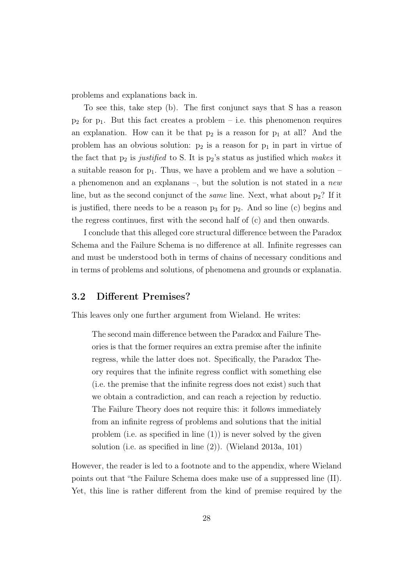problems and explanations back in.

To see this, take step (b). The first conjunct says that S has a reason  $p_2$  for  $p_1$ . But this fact creates a problem – i.e. this phenomenon requires an explanation. How can it be that  $p_2$  is a reason for  $p_1$  at all? And the problem has an obvious solution:  $p_2$  is a reason for  $p_1$  in part in virtue of the fact that  $p_2$  is justified to S. It is  $p_2$ 's status as justified which makes it a suitable reason for  $p_1$ . Thus, we have a problem and we have a solution – a phenomenon and an explanans –, but the solution is not stated in a new line, but as the second conjunct of the *same* line. Next, what about  $p_2$ ? If it is justified, there needs to be a reason  $p_3$  for  $p_2$ . And so line (c) begins and the regress continues, first with the second half of (c) and then onwards.

I conclude that this alleged core structural difference between the Paradox Schema and the Failure Schema is no difference at all. Infinite regresses can and must be understood both in terms of chains of necessary conditions and in terms of problems and solutions, of phenomena and grounds or explanatia.

#### <span id="page-27-0"></span>3.2 Different Premises?

This leaves only one further argument from Wieland. He writes:

The second main difference between the Paradox and Failure Theories is that the former requires an extra premise after the infinite regress, while the latter does not. Specifically, the Paradox Theory requires that the infinite regress conflict with something else (i.e. the premise that the infinite regress does not exist) such that we obtain a contradiction, and can reach a rejection by reductio. The Failure Theory does not require this: it follows immediately from an infinite regress of problems and solutions that the initial problem (i.e. as specified in line (1)) is never solved by the given solution (i.e. as specified in line (2)). [\(Wieland 2013a,](#page-31-4) 101)

However, the reader is led to a footnote and to the appendix, where Wieland points out that "the Failure Schema does make use of a suppressed line (II). Yet, this line is rather different from the kind of premise required by the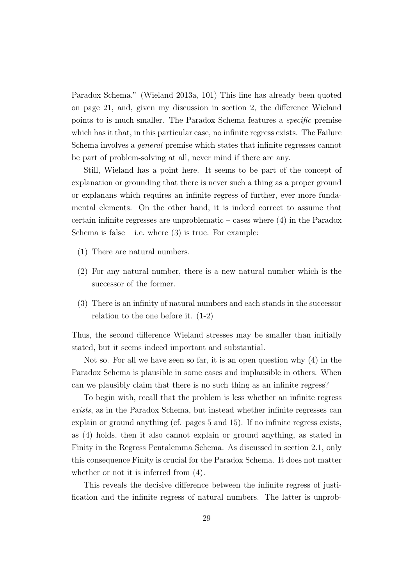Paradox Schema." [\(Wieland 2013a,](#page-31-4) 101) This line has already been quoted on page [21,](#page-17-1) and, given my discussion in section [2,](#page-11-0) the difference Wieland points to is much smaller. The Paradox Schema features a specific premise which has it that, in this particular case, no infinite regress exists. The Failure Schema involves a general premise which states that infinite regresses cannot be part of problem-solving at all, never mind if there are any.

Still, Wieland has a point here. It seems to be part of the concept of explanation or grounding that there is never such a thing as a proper ground or explanans which requires an infinite regress of further, ever more fundamental elements. On the other hand, it is indeed correct to assume that certain infinite regresses are unproblematic – cases where (4) in the Paradox Schema is false – i.e. where  $(3)$  is true. For example:

- (1) There are natural numbers.
- (2) For any natural number, there is a new natural number which is the successor of the former.
- (3) There is an infinity of natural numbers and each stands in the successor relation to the one before it. (1-2)

Thus, the second difference Wieland stresses may be smaller than initially stated, but it seems indeed important and substantial.

Not so. For all we have seen so far, it is an open question why (4) in the Paradox Schema is plausible in some cases and implausible in others. When can we plausibly claim that there is no such thing as an infinite regress?

To begin with, recall that the problem is less whether an infinite regress exists, as in the Paradox Schema, but instead whether infinite regresses can explain or ground anything (cf. pages [5](#page-3-0) and [15\)](#page-13-2). If no infinite regress exists, as (4) holds, then it also cannot explain or ground anything, as stated in Finity in the Regress Pentalemma Schema. As discussed in section [2.1,](#page-12-0) only this consequence Finity is crucial for the Paradox Schema. It does not matter whether or not it is inferred from (4).

This reveals the decisive difference between the infinite regress of justification and the infinite regress of natural numbers. The latter is unprob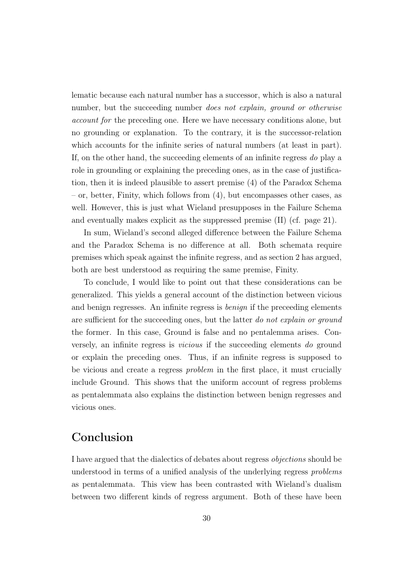lematic because each natural number has a successor, which is also a natural number, but the succeeding number *does not explain, ground or otherwise* account for the preceding one. Here we have necessary conditions alone, but no grounding or explanation. To the contrary, it is the successor-relation which accounts for the infinite series of natural numbers (at least in part). If, on the other hand, the succeeding elements of an infinite regress do play a role in grounding or explaining the preceding ones, as in the case of justification, then it is indeed plausible to assert premise (4) of the Paradox Schema – or, better, Finity, which follows from (4), but encompasses other cases, as well. However, this is just what Wieland presupposes in the Failure Schema and eventually makes explicit as the suppressed premise (II) (cf. page [21\)](#page-17-1).

In sum, Wieland's second alleged difference between the Failure Schema and the Paradox Schema is no difference at all. Both schemata require premises which speak against the infinite regress, and as section [2](#page-11-0) has argued, both are best understood as requiring the same premise, Finity.

To conclude, I would like to point out that these considerations can be generalized. This yields a general account of the distinction between vicious and benign regresses. An infinite regress is benign if the preceeding elements are sufficient for the succeeding ones, but the latter do not explain or ground the former. In this case, Ground is false and no pentalemma arises. Conversely, an infinite regress is vicious if the succeeding elements do ground or explain the preceding ones. Thus, if an infinite regress is supposed to be vicious and create a regress problem in the first place, it must crucially include Ground. This shows that the uniform account of regress problems as pentalemmata also explains the distinction between benign regresses and vicious ones.

# Conclusion

I have argued that the dialectics of debates about regress objections should be understood in terms of a unified analysis of the underlying regress *problems* as pentalemmata. This view has been contrasted with Wieland's dualism between two different kinds of regress argument. Both of these have been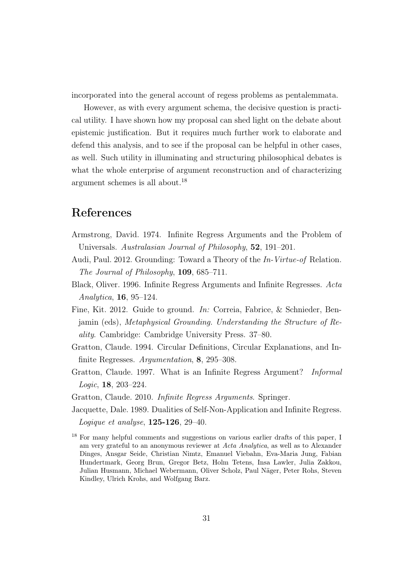incorporated into the general account of regess problems as pentalemmata.

However, as with every argument schema, the decisive question is practical utility. I have shown how my proposal can shed light on the debate about epistemic justification. But it requires much further work to elaborate and defend this analysis, and to see if the proposal can be helpful in other cases, as well. Such utility in illuminating and structuring philosophical debates is what the whole enterprise of argument reconstruction and of characterizing argument schemes is all about.[18](#page-0-0)

## References

- <span id="page-30-0"></span>Armstrong, David. 1974. Infinite Regress Arguments and the Problem of Universals. Australasian Journal of Philosophy, 52, 191–201.
- <span id="page-30-1"></span>Audi, Paul. 2012. Grounding: Toward a Theory of the In-Virtue-of Relation. The Journal of Philosophy, 109, 685-711.
- <span id="page-30-7"></span>Black, Oliver. 1996. Infinite Regress Arguments and Infinite Regresses. Acta Analytica, 16, 95–124.
- <span id="page-30-2"></span>Fine, Kit. 2012. Guide to ground. In: Correia, Fabrice, & Schnieder, Benjamin (eds), Metaphysical Grounding. Understanding the Structure of Reality. Cambridge: Cambridge University Press. 37–80.
- <span id="page-30-3"></span>Gratton, Claude. 1994. Circular Definitions, Circular Explanations, and Infinite Regresses. Argumentation, 8, 295–308.
- <span id="page-30-4"></span>Gratton, Claude. 1997. What is an Infinite Regress Argument? Informal Logic, 18, 203–224.
- <span id="page-30-6"></span><span id="page-30-5"></span>Gratton, Claude. 2010. Infinite Regress Arguments. Springer.
- Jacquette, Dale. 1989. Dualities of Self-Non-Application and Infinite Regress. *Logique et analyse*,  $125-126$ ,  $29-40$ .
- <sup>18</sup> For many helpful comments and suggestions on various earlier drafts of this paper, I am very grateful to an anonymous reviewer at Acta Analytica, as well as to Alexander Dinges, Ansgar Seide, Christian Nimtz, Emanuel Viebahn, Eva-Maria Jung, Fabian Hundertmark, Georg Brun, Gregor Betz, Holm Tetens, Insa Lawler, Julia Zakkou, Julian Husmann, Michael Webermann, Oliver Scholz, Paul Näger, Peter Rohs, Steven Kindley, Ulrich Krohs, and Wolfgang Barz.